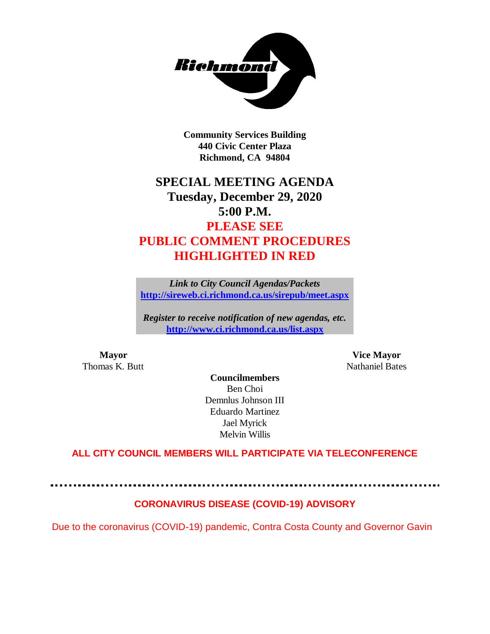

**Community Services Building 440 Civic Center Plaza Richmond, CA 94804**

# **SPECIAL MEETING AGENDA Tuesday, December 29, 2020 5:00 P.M. PLEASE SEE PUBLIC COMMENT PROCEDURES HIGHLIGHTED IN RED**

*Link to City Council Agendas/Packets* **<http://sireweb.ci.richmond.ca.us/sirepub/meet.aspx>**

*Register to receive notification of new agendas, etc.* **<http://www.ci.richmond.ca.us/list.aspx>**

Thomas K. Butt Nathaniel Bates

**Mayor Vice Mayor**

**Councilmembers** Ben Choi Demnlus Johnson III Eduardo Martinez Jael Myrick Melvin Willis

# **ALL CITY COUNCIL MEMBERS WILL PARTICIPATE VIA TELECONFERENCE**

# **CORONAVIRUS DISEASE (COVID-19) ADVISORY**

Due to the coronavirus (COVID-19) pandemic, Contra Costa County and Governor Gavin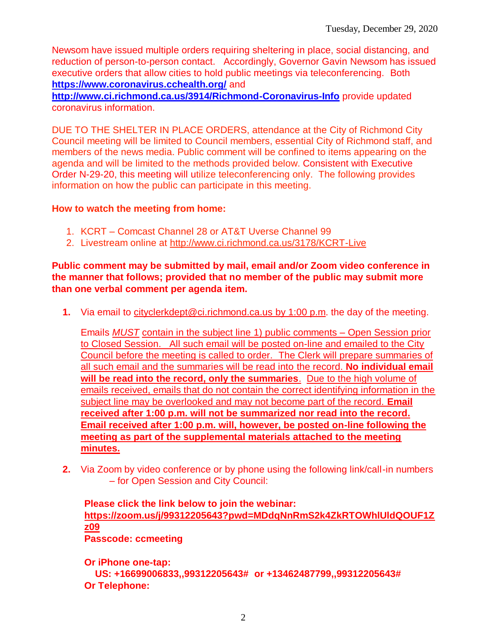Newsom have issued multiple orders requiring sheltering in place, social distancing, and reduction of person-to-person contact. Accordingly, Governor Gavin Newsom has issued executive orders that allow cities to hold public meetings via teleconferencing. Both **<https://www.coronavirus.cchealth.org/>** and

**<http://www.ci.richmond.ca.us/3914/Richmond-Coronavirus-Info>** provide updated coronavirus information.

DUE TO THE SHELTER IN PLACE ORDERS, attendance at the City of Richmond City Council meeting will be limited to Council members, essential City of Richmond staff, and members of the news media. Public comment will be confined to items appearing on the agenda and will be limited to the methods provided below. Consistent with Executive Order N-29-20, this meeting will utilize teleconferencing only. The following provides information on how the public can participate in this meeting.

## **How to watch the meeting from home:**

- 1. KCRT Comcast Channel 28 or AT&T Uverse Channel 99
- 2. Livestream online at<http://www.ci.richmond.ca.us/3178/KCRT-Live>

## **Public comment may be submitted by mail, email and/or Zoom video conference in the manner that follows; provided that no member of the public may submit more than one verbal comment per agenda item.**

**1.** Via email to [cityclerkdept@ci.richmond.ca.us](mailto:cityclerkdept@ci.richmond.ca.us) by 1:00 p.m. the day of the meeting.

Emails *MUST* contain in the subject line 1) public comments – Open Session prior to Closed Session. All such email will be posted on-line and emailed to the City Council before the meeting is called to order. The Clerk will prepare summaries of all such email and the summaries will be read into the record. **No individual email will be read into the record, only the summaries**. Due to the high volume of emails received, emails that do not contain the correct identifying information in the subject line may be overlooked and may not become part of the record. **Email received after 1:00 p.m. will not be summarized nor read into the record. Email received after 1:00 p.m. will, however, be posted on-line following the meeting as part of the supplemental materials attached to the meeting minutes.**

**2.** Via Zoom by video conference or by phone using the following link/call-in numbers – for Open Session and City Council:

#### **Please click the link below to join the webinar: [https://zoom.us/j/99312205643?pwd=MDdqNnRmS2k4ZkRTOWhlUldQOUF1Z](https://zoom.us/j/99312205643?pwd=MDdqNnRmS2k4ZkRTOWhlUldQOUF1Zz09) [z09](https://zoom.us/j/99312205643?pwd=MDdqNnRmS2k4ZkRTOWhlUldQOUF1Zz09) Passcode: ccmeeting**

**Or iPhone one-tap:**

**US: +16699006833,,99312205643# or +13462487799,,99312205643# Or Telephone:**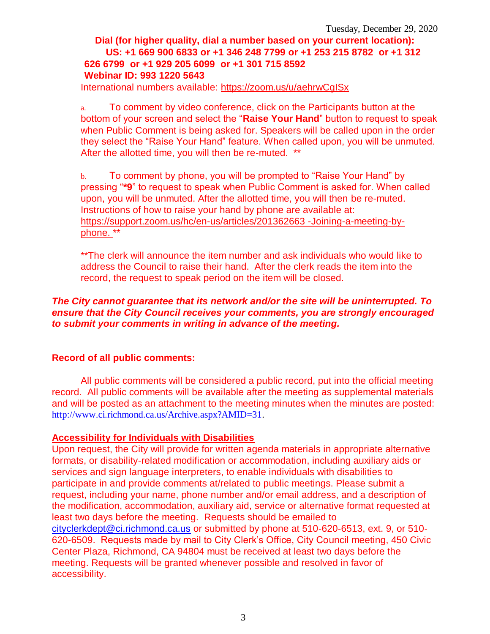# **Dial (for higher quality, dial a number based on your current location): US: +1 669 900 6833 or +1 346 248 7799 or +1 253 215 8782 or +1 312 626 6799 or +1 929 205 6099 or +1 301 715 8592 Webinar ID: 993 1220 5643**

International numbers available:<https://zoom.us/u/aehrwCgISx>

a. To comment by video conference, click on the Participants button at the bottom of your screen and select the "**Raise Your Hand**" button to request to speak when Public Comment is being asked for. Speakers will be called upon in the order they select the "Raise Your Hand" feature. When called upon, you will be unmuted. After the allotted time, you will then be re-muted. \*\*

b. To comment by phone, you will be prompted to "Raise Your Hand" by pressing "**\*9**" to request to speak when Public Comment is asked for. When called upon, you will be unmuted. After the allotted time, you will then be re-muted. Instructions of how to raise your hand by phone are available at: [https://support.zoom.us/hc/en-us/articles/201362663 -Joining-a-meeting-by](https://support.zoom.us/hc/en-us/articles/201362663)[phone.](https://support.zoom.us/hc/en-us/articles/201362663) \*\*

\*\*The clerk will announce the item number and ask individuals who would like to address the Council to raise their hand. After the clerk reads the item into the record, the request to speak period on the item will be closed.

## *The City cannot guarantee that its network and/or the site will be uninterrupted. To ensure that the City Council receives your comments, you are strongly encouraged to submit your comments in writing in advance of the meeting.*

# **Record of all public comments:**

All public comments will be considered a public record, put into the official meeting record. All public comments will be available after the meeting as supplemental materials and will be posted as an attachment to the meeting minutes when the minutes are posted: [http://www.ci.richmond.ca.us/Archive.aspx?AMID=31.](http://www.ci.richmond.ca.us/Archive.aspx?AMID=31)

#### **Accessibility for Individuals with Disabilities**

Upon request, the City will provide for written agenda materials in appropriate alternative formats, or disability-related modification or accommodation, including auxiliary aids or services and sign language interpreters, to enable individuals with disabilities to participate in and provide comments at/related to public meetings. Please submit a request, including your name, phone number and/or email address, and a description of the modification, accommodation, auxiliary aid, service or alternative format requested at least two days before the meeting. Requests should be emailed to [cityclerkdept@ci.richmond.ca.us](mailto:cityclerkdept@ci.richmond.ca.us) or submitted by phone at 510-620-6513, ext. 9, or 510- 620-6509. Requests made by mail to City Clerk's Office, City Council meeting, 450 Civic Center Plaza, Richmond, CA 94804 must be received at least two days before the meeting. Requests will be granted whenever possible and resolved in favor of accessibility.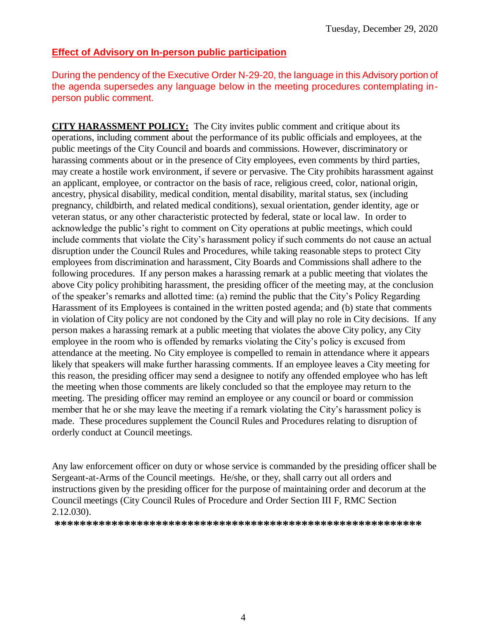## **Effect of Advisory on In-person public participation**

During the pendency of the Executive Order N-29-20, the language in this Advisory portion of the agenda supersedes any language below in the meeting procedures contemplating inperson public comment.

**CITY HARASSMENT POLICY:** The City invites public comment and critique about its operations, including comment about the performance of its public officials and employees, at the public meetings of the City Council and boards and commissions. However, discriminatory or harassing comments about or in the presence of City employees, even comments by third parties, may create a hostile work environment, if severe or pervasive. The City prohibits harassment against an applicant, employee, or contractor on the basis of race, religious creed, color, national origin, ancestry, physical disability, medical condition, mental disability, marital status, sex (including pregnancy, childbirth, and related medical conditions), sexual orientation, gender identity, age or veteran status, or any other characteristic protected by federal, state or local law. In order to acknowledge the public's right to comment on City operations at public meetings, which could include comments that violate the City's harassment policy if such comments do not cause an actual disruption under the Council Rules and Procedures, while taking reasonable steps to protect City employees from discrimination and harassment, City Boards and Commissions shall adhere to the following procedures. If any person makes a harassing remark at a public meeting that violates the above City policy prohibiting harassment, the presiding officer of the meeting may, at the conclusion of the speaker's remarks and allotted time: (a) remind the public that the City's Policy Regarding Harassment of its Employees is contained in the written posted agenda; and (b) state that comments in violation of City policy are not condoned by the City and will play no role in City decisions. If any person makes a harassing remark at a public meeting that violates the above City policy, any City employee in the room who is offended by remarks violating the City's policy is excused from attendance at the meeting. No City employee is compelled to remain in attendance where it appears likely that speakers will make further harassing comments. If an employee leaves a City meeting for this reason, the presiding officer may send a designee to notify any offended employee who has left the meeting when those comments are likely concluded so that the employee may return to the meeting. The presiding officer may remind an employee or any council or board or commission member that he or she may leave the meeting if a remark violating the City's harassment policy is made. These procedures supplement the Council Rules and Procedures relating to disruption of orderly conduct at Council meetings.

Any law enforcement officer on duty or whose service is commanded by the presiding officer shall be Sergeant-at-Arms of the Council meetings. He/she, or they, shall carry out all orders and instructions given by the presiding officer for the purpose of maintaining order and decorum at the Council meetings (City Council Rules of Procedure and Order Section III F, RMC Section 2.12.030).

**\*\*\*\*\*\*\*\*\*\*\*\*\*\*\*\*\*\*\*\*\*\*\*\*\*\*\*\*\*\*\*\*\*\*\*\*\*\*\*\*\*\*\*\*\*\*\*\*\*\*\*\*\*\*\*\*\*\***